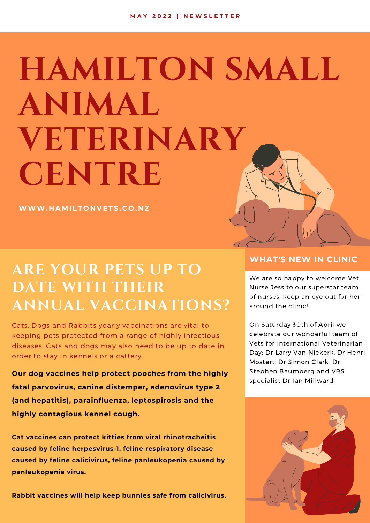# **HAMILTON SMALL ANIMAL VETERINARY CENTRE**

**WWW. H A M I L T O N V ET S . C O . N Z**

## **ARE YOUR PETS UP TO DATE WITH THEIR ANNUAL VACCINATIONS?**

Cats, Dogs and Rabbits yearly vaccinations are vital to keeping pets protected from a range of highly infectious diseases. Cats and dogs may also need to be up to date in order to stay in kennels or a cattery.

**Our dog vaccines help protect pooches from the highly fatal parvovirus, canine distemper, adenovirus type 2 (and hepatitis), parainfluenza, leptospirosis and the highly contagious kennel cough.**

**Cat vaccines can protect kitties from viral rhinotracheitis caused by feline herpesvirus-1, feline respiratory disease caused by feline calicivirus, feline panleukopenia caused by panleukopenia virus.**

**Rabbit vaccines will help keep bunnies safe from calicivirus.**

#### **WHAT'S NEW IN CLINIC**

We are so happy to welcome Vet Nurse Jess to our superstar team of nurses, keep an eye out for her around the clinic!

On Saturday 30th of April we celebrate our wonderful team of Vets for International Veterinarian Day; Dr Larry Van Niekerk, Dr Henri Mostert, Dr Simon Clark, Dr Stephen Baumberg and VRS specialist Dr Ian Millward